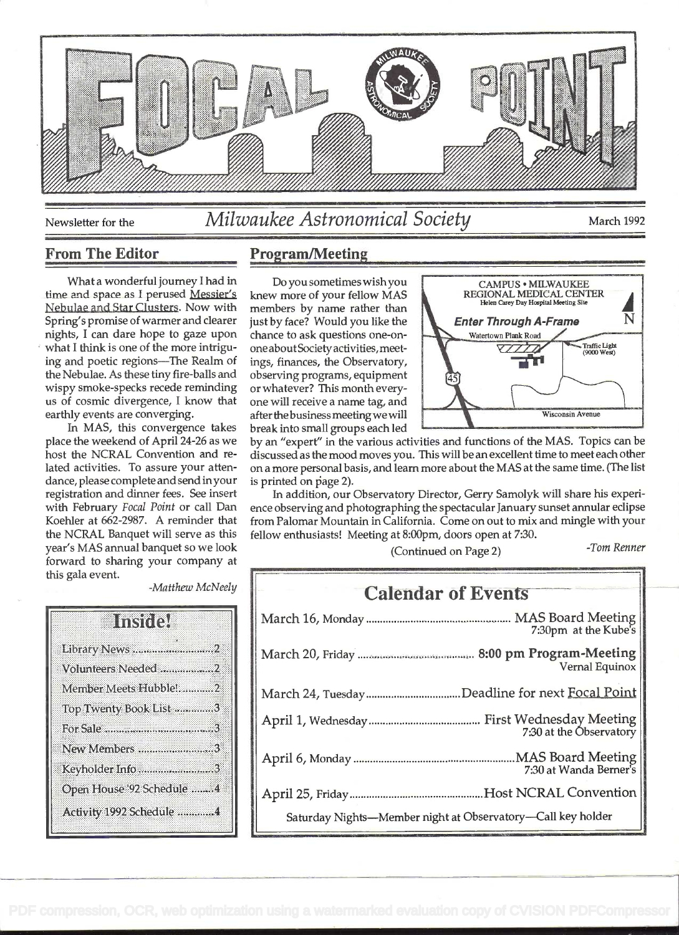

# Newsletter for the *Milwaukee Astronomical Society* March 1992

What a wonderful journey I had in time and space as I perused Messier's knew more of your fellow MAS Nebulae and Star Clusters. Now with Spring's promise of warmer and clearer nights, I can dare hope to gaze upon what I think is one of the more intriguing and poetic regions-The Realm of the Nebulae. As these tiny fire-balls and wispy smoke-specks recede reminding us of cosmic divergence, I know that earthly events are converging.

In MAS, this convergence takes place the weekend of April 24-26 as we host the NCRAL Convention and related activities. To assure your attendance, please complete and send in your registration and dinner fees. See insert with February Focal Point or call Dan Koehier at 662-2987. A reminder that the NCRAL Banquet will serve as this year's MAS annual banquet so we look forward to sharing your company at this gala event.

## From The Editor Program/Meeting

members by name rather than one about Society activities, meetings, finances, the Observatory, observing programs, equipment 45 or whatever? This month everyone will receive a name tag, and break into small groups each led



by an "expert" in the various activities and functions of the MAS. Topics can be discussed as the mood moves you. This will be an excellent time to meet each other on a more personal basis, and learn more about the MAS at the same time. (The list is printed on page 2).

In addition, our Observatory Director, Gerry Samolyk will share his experience observing and photographing the spectacular January sunset annular eclipse from Palomar Mountain in California. Come on out to mix and mingle with your fellow enthusiasts! Meeting at 8:00pm, doors open at 7:30.

(Continued on Page 2)

-Tom Renner

|                            | <b>Institute</b> |  |
|----------------------------|------------------|--|
| Library News 2             |                  |  |
| Volunteers Needed 2        |                  |  |
| Member Meets Hubble!2      |                  |  |
| Top Twenty Book List 3     |                  |  |
|                            |                  |  |
| New Members 3              |                  |  |
| Keyholder Info 3           |                  |  |
| Open House '92 Schedule  4 |                  |  |
| Activity 1992 Schedule 4   |                  |  |

| -Matthew McNeely |  | i<br>I |
|------------------|--|--------|
|------------------|--|--------|

| <b>Calendar of Events</b>                                   |  |
|-------------------------------------------------------------|--|
| 7:30pm at the Kube's                                        |  |
| <b>Vernal Equinox</b>                                       |  |
| March 24, TuesdayDeadline for next Focal Point              |  |
| 7:30 at the Observatory                                     |  |
| 7:30 at Wanda Berner's                                      |  |
|                                                             |  |
| Saturday Nights-Member night at Observatory-Call key holder |  |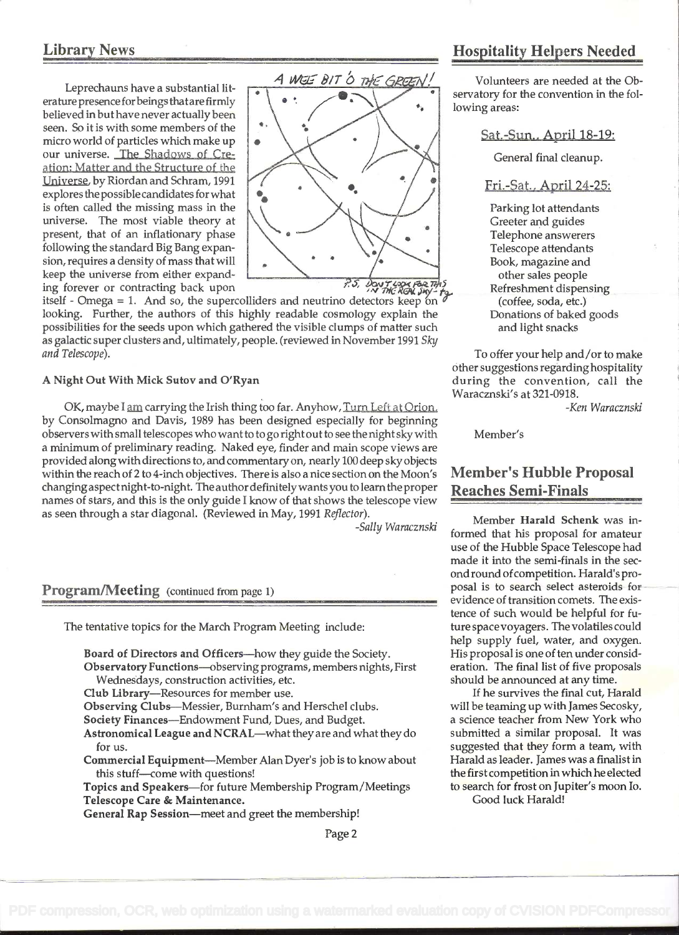## Library News

erature presence for beings that are firmly believed in but have never actually been<br>seen. So it is with some members of the seen. So it is with some members of the micro world of particles which make up our universe. The Shadows of Creation: Matter and the Structure of the Universe. by Riordan and Schram, 1991 explores the possiblecandidates forwhat is often called the missing mass in the universe. The most viable theory at present, that of an inflationary phase following the standard Big Bang expansion, requires a density of mass thatwill keep the universe from either expanding forever or contracting back upon  $\overrightarrow{PS}$ ,  $\overrightarrow{Qov}$   $\overrightarrow{Yd}$ ,  $\overrightarrow{PS}$ ,  $\overrightarrow{Qov}$   $\overrightarrow{Yd}$ ,  $\overrightarrow{Qg}$ ,  $\overrightarrow{Qg}$ ,  $\overrightarrow{Qg}$ ,  $\overrightarrow{Qg}$ ,  $\overrightarrow{Qg}$ ,  $\overrightarrow{Qg}$ ,  $\overrightarrow{Qg}$ ,  $\overrightarrow{Qg}$ ,  $\overrightarrow{Qg}$ ,  $\overrightarrow{Qg}$ ,  $\overrightarrow{Qg}$ ,



itself - Omega = 1. And so, the supercolliders and neutrino detectors keep on  $\sigma$ looking. Further, the authors of this highly readable cosmology explain the possibilities for the seeds upon which gathered the visible clumps of matter such as galactic super clusters and, ultimately, people. (reviewed in November 1991 Sky and Telescope).

#### A Night Out With Mick Sutov and O'Ryan

OK, maybe I am carrying the Irish thing too far. Anyhow, Turn Left at Orion. by Consolmagno and Davis, 1989 has been designed especially for beginning observers with small telescopes who want to to go right out to see the night sky with a minimum of preliminary reading. Naked eye, finder and main scope views are provided along with directions to, and commentary on, nearly 100 deep sky objects within the reach of 2 to 4-inch objectives. There is also a nice section on the Moon's changing aspectnight-to-night. The authordefinitelywants you to learnthe proper names of stars, and this is the only guide I know of that shows the telescope view as seen through a star diagonal. (Reviewed in May, 1991 Reflector).

-Sally Waracznski

### Program/Meeting (continued from page 1)

The tentative topics for the March Program Meeting include:

Board of Directors and Officers-how they guide the Society. Observatory Functions-observing programs, members nights, First Wednesdays, construction activities, etc. Club Library-Resources for member use. Observing Clubs-Messier, Burnham's and Herschel clubs. Society Finances-Endowment Fund, Dues, and Budget. Astronomical League and NCRAL-what they are and what they do for us. Commercial Equipment-Member Alan Dyer's job is to know about this stuff-come with questions! Topics and Speakers-for future Membership Program/Meetings

Telescope Care & Maintenance.

General Rap Session-meet and greet the membership!

## Hospitality Helpers Needed

Volunteers are needed at the Observatory for the convention in the following areas:

Sat.-Sun.. April 18-19:

General final cleanup.

### Fri.-Sat. , April 24-25:

Parking lot attendants Greeter and guides Telephone answerers Telescope attendants Book, magazine and other sales people Refreshment dispensing (coffee, soda, etc.) Donations of baked goods and light snacks

To offer your help and/or to make Other suggestions regarding hospitality during the convention, call the Waracznski's at 321-0918.

-Ken Waracznski

Member's

## Member's Hubble Proposal Reaches Semi-Finals

Member Harald Schenk was informed that his proposal for amateur use of the Hubble Space Telescope had made it into the semi-finals in the secondround ofcompetition. Harald's proposal is to search select asteroids for evidence of transition comets. The existence of such would be helpful for future space voyagers. The volatiles could help supply fuel, water, and oxygen. His proposal is one of ten under consideration. The final list of five proposals should be announced at any time.

If he survives the final cut, Harald will be teaming up with James Secosky, a science teacher from New York who submitted a similar proposal. It was suggested that they form a team, with Harald as leader. James was a finalist in the first competition in which he elected to search for frost on Jupiter's moon Io.

Good luck Harald!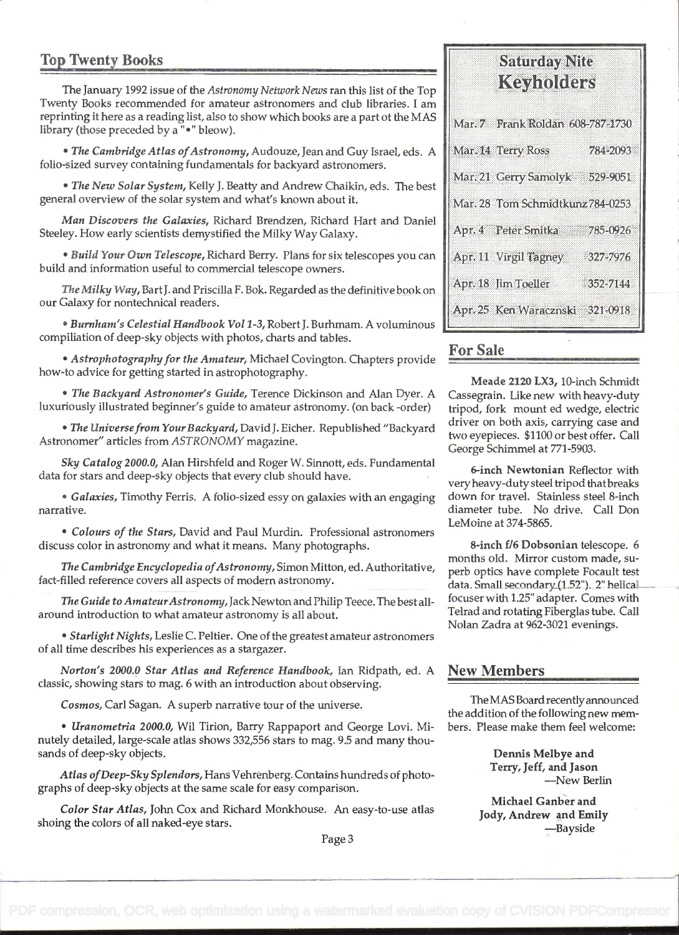## Top Twenty Books

The January 1992 issue of the Astronomy Network News ran this list of the Top Twenty Books recommended for amateur astronomers and club libraries. I am reprinting it here as a reading list, also to show which books are a part ot the MAS library (those preceded by a "•" bleow).

• The Cambridge Atlas of Astronomy, Audouze, Jean and Guy Israel, eds. A folio-sized survey containing fundamentals for backyard astronomers.

. The New Solar System, Kelly J. Beatty and Andrew Chaikin, eds. The best general overview of the solar system and what's known about it.

Man Discovers the Galaxies, Richard Brendzen, Richard Hart and Daniel Steeley. How early scientists demystified the Milky Way Galaxy.

. Build Your Own Telescope, Richard Berry. Plans for six telescopes you can build and information useful to commercial telescope owners.

The Milky Way, BartJ. and Priscilla F. Bok. Regarded as the definitive book on our Galaxy for nontechnical readers.

• Burnham's Celestial Handbook Vol 1-3, Robert J. Burhmam. A voluminous compiliation of deep-sky objects with photos, charts and tables.

• Astrophotography for the Amateur, Michael Covington. Chapters provide how-to advice for getting started in astrophotography.

• The Backyard Astronomer's Guide, Terence Dickinson and Alan Dyer. A luxuriously illustrated beginner's guide to amateur astronomy. (on back -order)

• The Universe from Your Backyard, David J. Eicher. Republished "Backyard Astronomer" articles from ASTRONOMY magazine.

Sky Catalog 2000.0, Alan Hirshfeld and Roger W. Sinnott, eds. Fundamental data for stars and deep-sky objects that every club should have.

• Galaxies, Timothy Ferris. A folio-sized essy on galaxies with an engaging narrative.

. Colours of the Stars, David and Paul Murdin. Professional astronomers discuss color in astronomy and what it means. Many photographs.

The Cambridge Encyclopedia of Astronomy, Simon Mitton, ed. Authoritative, fact-filled reference covers all aspects of modern astronomy.

The Guide to Amateur Astronomy, Jack Newton and Philip Teece. The best allaround introduction to what amateur astronomy is all about.

• Starlight Nights, Leslie C. Peltier. One of the greatest amateur astronomers of all time describes his experiences as a stargazer.

Norton's 2000.0 Star Atlas and Reference Handbook, Ian Ridpath, ed. A New Members classic, showing stars to mag. 6 with an introduction about observing.

• *Uranometria 2000.0, Wil Tirion, Barry Rappaport and George Lovi. Mi- bers. Please make them feel welcome:* nutely detailed, large-scale atlas shows 332,556 stars to mag. 9.5 and many thousands of deep-sky objects. The same state of the same state of the same state of the Dennis Melbye and

Terry, Jeff, and Jason Atlas ofDeep-Sky Splendors, Hans Vehrénberg. Contains hundreds of photo- -New Berlin graphs of deep-sky objects at the same scale for easy comparison.

Color Star Atlas, John Cox and Richard Monkhouse. An easy-to-use atlas Michael Ganber and Shoing the colors of all naked-eye stars.<br>-Bayside Page 3

# Samony Nite Keyholders

| Mar. 7 Frank Roldan 608-787-1730 |          |
|----------------------------------|----------|
| Mar. 14 Terry Ross               | 784-2093 |
| Mar. 21 Gerry Samolyk            | 529-9051 |
| Mar. 28 Tom Schmidtkunz 784-0253 |          |
| Apr. 4 Peter Smitka              | 785-0926 |
| Apr. 11 Virgil Tagney            | 327-7976 |
| Apr. 18 Jim Toeller              | 352-7144 |
| Apr. 25 Ken Waracznski 321-0918  |          |

## For Sale

Meade 2120 LX3, 10-inch Schmidt Cassegrain. Like new with heavy-duty tripod, fork mount ed wedge, electric driver on both axis, carrying case and two eyepieces. \$1100 or best offer. Call George Schimmel at 771-5903.

6-inch Newtonian Reflector with veryheavy-duty steel tripod that breaks down for travel. Stainless steel 8-inch diameter tube. No drive. Call Don LeMoine at 374-5865.

8-inch f/6 Dobsonian telescope. 6 months old. Mirror custom made, superb optics have complete Focault test data. Small secondary (1.52"). 2" helical. focuser with 1.25" adapter. Comes with Telrad and rotating Fiberglas tube. Call Nolan Zadra at 962-3021 evenings.

Cosmos, Carl Sagan. A superb narrative tour of the universe.<br>
the addition of the following new mem-